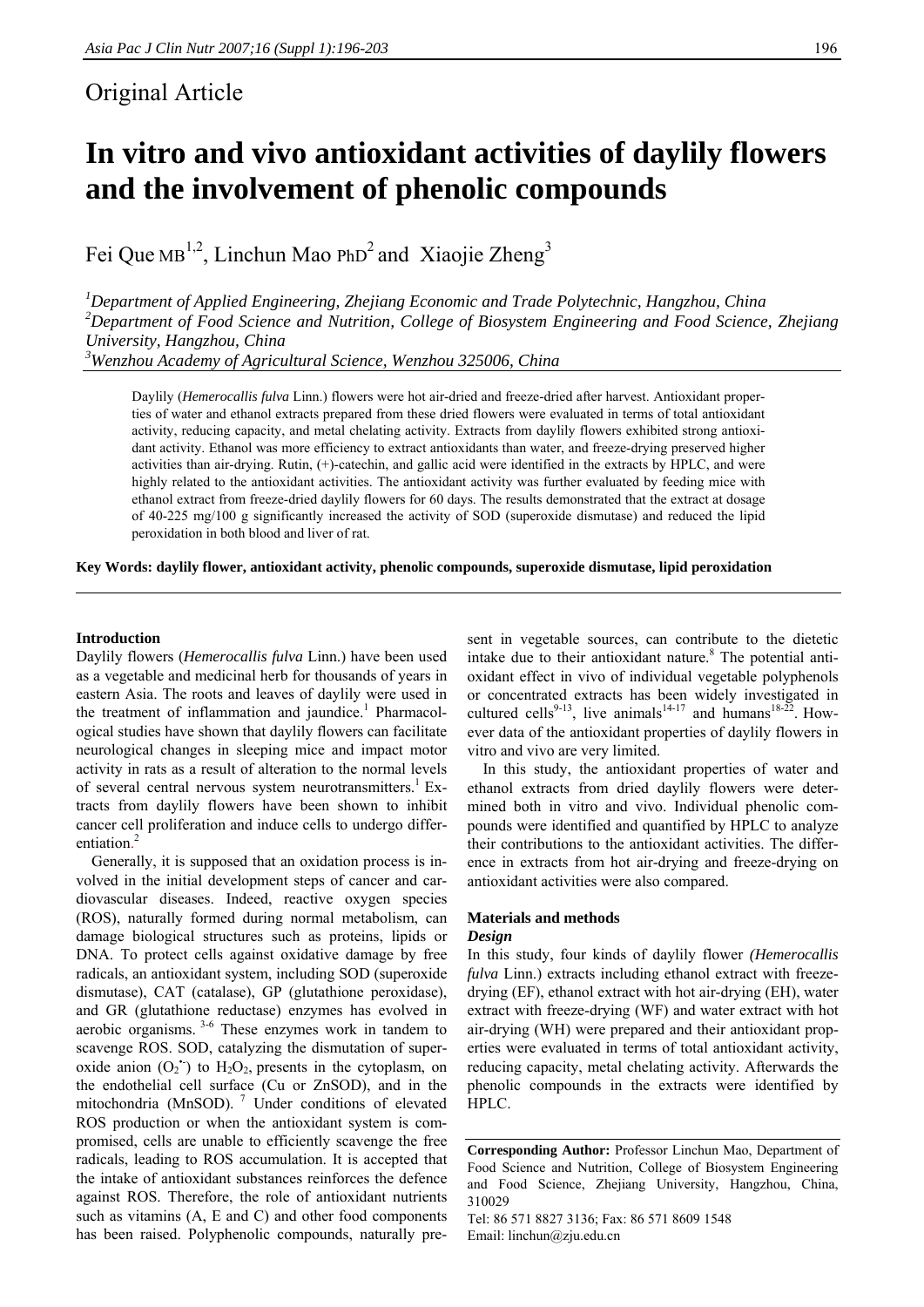# Original Article

# **In vitro and vivo antioxidant activities of daylily flowers and the involvement of phenolic compounds**

Fei Que MB<sup>1,2</sup>, Linchun Mao PhD<sup>2</sup> and Xiaojie Zheng<sup>3</sup>

*1 Department of Applied Engineering, Zhejiang Economic and Trade Polytechnic, Hangzhou, China 2 Department of Food Science and Nutrition, College of Biosystem Engineering and Food Science, Zhejiang University, Hangzhou, China* 

*3 Wenzhou Academy of Agricultural Science, Wenzhou 325006, China* 

Daylily (*Hemerocallis fulva* Linn.) flowers were hot air-dried and freeze-dried after harvest. Antioxidant properties of water and ethanol extracts prepared from these dried flowers were evaluated in terms of total antioxidant activity, reducing capacity, and metal chelating activity. Extracts from daylily flowers exhibited strong antioxidant activity. Ethanol was more efficiency to extract antioxidants than water, and freeze-drying preserved higher activities than air-drying. Rutin, (+)-catechin, and gallic acid were identified in the extracts by HPLC, and were highly related to the antioxidant activities. The antioxidant activity was further evaluated by feeding mice with ethanol extract from freeze-dried daylily flowers for 60 days. The results demonstrated that the extract at dosage of 40-225 mg/100 g significantly increased the activity of SOD (superoxide dismutase) and reduced the lipid peroxidation in both blood and liver of rat.

**Key Words: daylily flower, antioxidant activity, phenolic compounds, superoxide dismutase, lipid peroxidation** 

#### **Introduction**

Daylily flowers (*Hemerocallis fulva* Linn.) have been used as a vegetable and medicinal herb for thousands of years in eastern Asia. The roots and leaves of daylily were used in the treatment of inflammation and jaundice.<sup>1</sup> Pharmacological studies have shown that daylily flowers can facilitate neurological changes in sleeping mice and impact motor activity in rats as a result of alteration to the normal levels of several central nervous system neurotransmitters.<sup>1</sup> Extracts from daylily flowers have been shown to inhibit cancer cell proliferation and induce cells to undergo differentiation. 2

Generally, it is supposed that an oxidation process is involved in the initial development steps of cancer and cardiovascular diseases. Indeed, reactive oxygen species (ROS), naturally formed during normal metabolism, can damage biological structures such as proteins, lipids or DNA. To protect cells against oxidative damage by free radicals, an antioxidant system, including SOD (superoxide dismutase), CAT (catalase), GP (glutathione peroxidase), and GR (glutathione reductase) enzymes has evolved in aerobic organisms. 3-6 These enzymes work in tandem to scavenge ROS. SOD, catalyzing the dismutation of superoxide anion  $(O_2^{\bullet})$  to  $H_2O_2$ , presents in the cytoplasm, on the endothelial cell surface (Cu or ZnSOD), and in the mitochondria (MnSOD).<sup>7</sup> Under conditions of elevated ROS production or when the antioxidant system is compromised, cells are unable to efficiently scavenge the free radicals, leading to ROS accumulation. It is accepted that the intake of antioxidant substances reinforces the defence against ROS. Therefore, the role of antioxidant nutrients such as vitamins (A, E and C) and other food components has been raised. Polyphenolic compounds, naturally present in vegetable sources, can contribute to the dietetic intake due to their antioxidant nature.<sup>8</sup> The potential antioxidant effect in vivo of individual vegetable polyphenols or concentrated extracts has been widely investigated in cultured cells<sup>9-13</sup>, live animals<sup>14-17</sup> and humans<sup>18-22</sup>. However data of the antioxidant properties of daylily flowers in vitro and vivo are very limited.

In this study, the antioxidant properties of water and ethanol extracts from dried daylily flowers were determined both in vitro and vivo. Individual phenolic compounds were identified and quantified by HPLC to analyze their contributions to the antioxidant activities. The difference in extracts from hot air-drying and freeze-drying on antioxidant activities were also compared.

#### **Materials and methods**

#### *Design*

In this study, four kinds of daylily flower *(Hemerocallis fulva* Linn.) extracts including ethanol extract with freezedrying (EF), ethanol extract with hot air-drying (EH), water extract with freeze-drying (WF) and water extract with hot air-drying (WH) were prepared and their antioxidant properties were evaluated in terms of total antioxidant activity, reducing capacity, metal chelating activity. Afterwards the phenolic compounds in the extracts were identified by HPLC.

**Corresponding Author:** Professor Linchun Mao, Department of Food Science and Nutrition, College of Biosystem Engineering and Food Science, Zhejiang University, Hangzhou, China, 310029

Tel: 86 571 8827 3136; Fax: 86 571 8609 1548 Email: linchun@zju.edu.cn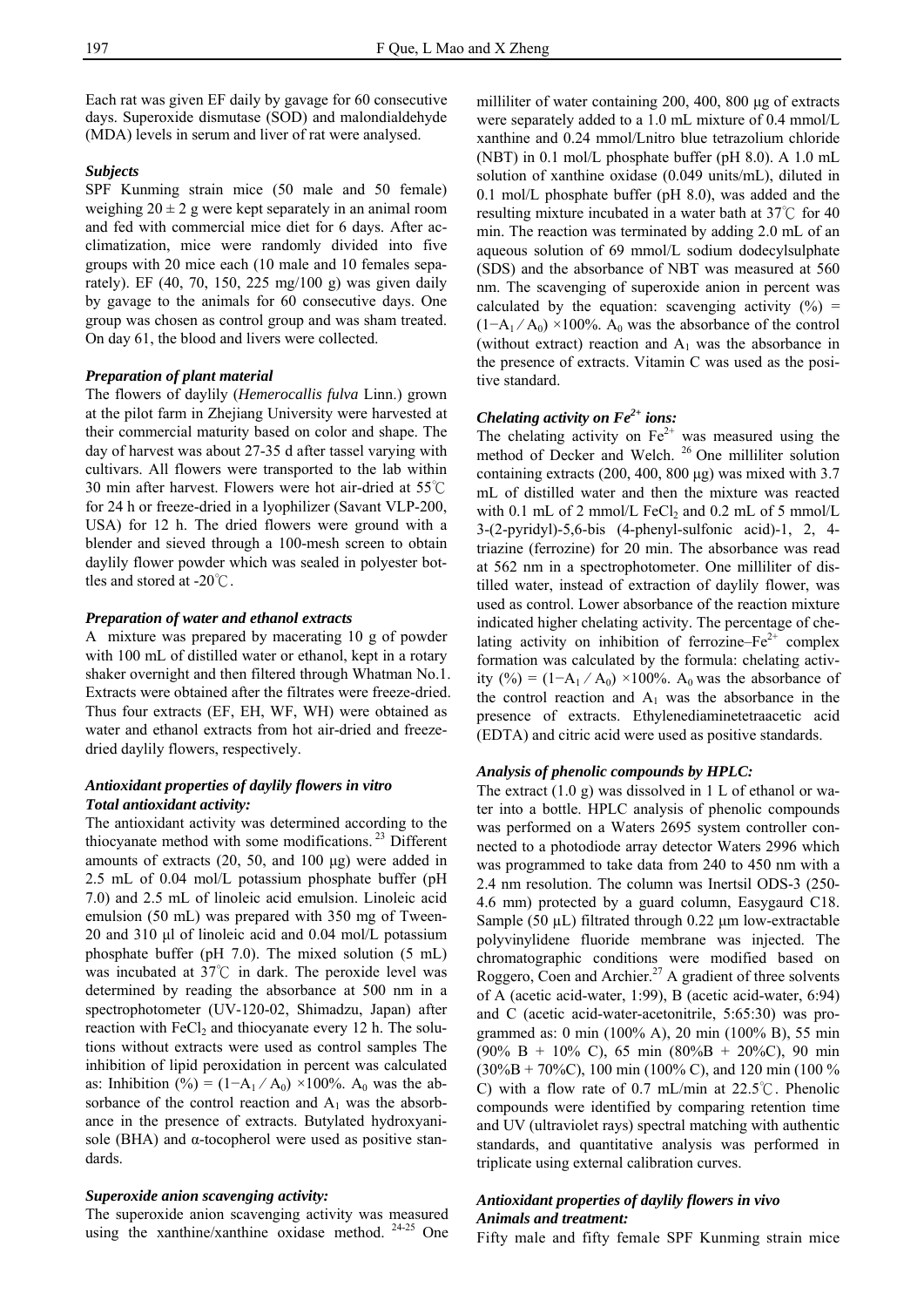Each rat was given EF daily by gavage for 60 consecutive days. Superoxide dismutase (SOD) and malondialdehyde (MDA) levels in serum and liver of rat were analysed.

#### *Subjects*

SPF Kunming strain mice (50 male and 50 female) weighing  $20 \pm 2$  g were kept separately in an animal room and fed with commercial mice diet for 6 days. After acclimatization, mice were randomly divided into five groups with 20 mice each (10 male and 10 females separately). EF (40, 70, 150, 225 mg/100 g) was given daily by gavage to the animals for 60 consecutive days. One group was chosen as control group and was sham treated. On day 61, the blood and livers were collected.

## *Preparation of plant material*

The flowers of daylily (*Hemerocallis fulva* Linn.) grown at the pilot farm in Zhejiang University were harvested at their commercial maturity based on color and shape. The day of harvest was about 27-35 d after tassel varying with cultivars. All flowers were transported to the lab within 30 min after harvest. Flowers were hot air-dried at 55℃ for 24 h or freeze-dried in a lyophilizer (Savant VLP-200, USA) for 12 h. The dried flowers were ground with a blender and sieved through a 100-mesh screen to obtain daylily flower powder which was sealed in polyester bottles and stored at -20℃.

#### *Preparation of water and ethanol extracts*

A mixture was prepared by macerating 10 g of powder with 100 mL of distilled water or ethanol, kept in a rotary shaker overnight and then filtered through Whatman No.1. Extracts were obtained after the filtrates were freeze-dried. Thus four extracts (EF, EH, WF, WH) were obtained as water and ethanol extracts from hot air-dried and freezedried daylily flowers, respectively.

# *Antioxidant properties of daylily flowers in vitro Total antioxidant activity:*

The antioxidant activity was determined according to the thiocyanate method with some modifications.<sup>23</sup> Different amounts of extracts (20, 50, and 100 μg) were added in 2.5 mL of 0.04 mol/L potassium phosphate buffer (pH 7.0) and 2.5 mL of linoleic acid emulsion. Linoleic acid emulsion (50 mL) was prepared with 350 mg of Tween-20 and 310 μl of linoleic acid and 0.04 mol/L potassium phosphate buffer (pH 7.0). The mixed solution (5 mL) was incubated at  $37^{\circ}$ C in dark. The peroxide level was determined by reading the absorbance at 500 nm in a spectrophotometer (UV-120-02, Shimadzu, Japan) after reaction with  $FeCl<sub>2</sub>$  and thiocyanate every 12 h. The solutions without extracts were used as control samples The inhibition of lipid peroxidation in percent was calculated as: Inhibition (%) =  $(1-A_1/A_0) \times 100\%$ . A<sub>0</sub> was the absorbance of the control reaction and  $A_1$  was the absorbance in the presence of extracts. Butylated hydroxyanisole (BHA) and  $\alpha$ -tocopherol were used as positive standards.

#### *Superoxide anion scavenging activity:*

The superoxide anion scavenging activity was measured using the xanthine/xanthine oxidase method. 24-25 One

milliliter of water containing 200, 400, 800 μg of extracts were separately added to a 1.0 mL mixture of 0.4 mmol/L xanthine and 0.24 mmol/Lnitro blue tetrazolium chloride (NBT) in 0.1 mol/L phosphate buffer (pH 8.0). A 1.0 mL solution of xanthine oxidase (0.049 units/mL), diluted in 0.1 mol/L phosphate buffer (pH 8.0), was added and the resulting mixture incubated in a water bath at 37℃ for 40 min. The reaction was terminated by adding 2.0 mL of an aqueous solution of 69 mmol/L sodium dodecylsulphate (SDS) and the absorbance of NBT was measured at 560 nm. The scavenging of superoxide anion in percent was calculated by the equation: scavenging activity  $(\%)$  =  $(1-A_1/A_0) \times 100\%$ . A<sub>0</sub> was the absorbance of the control (without extract) reaction and  $A_1$  was the absorbance in the presence of extracts. Vitamin C was used as the positive standard.

# *Chelating activity on Fe*<sup>2+</sup> *ions:*

The chelating activity on  $Fe^{2+}$  was measured using the method of Decker and Welch. <sup>26</sup> One milliliter solution containing extracts (200, 400, 800 μg) was mixed with 3.7 mL of distilled water and then the mixture was reacted with 0.1 mL of 2 mmol/L  $FeCl<sub>2</sub>$  and 0.2 mL of 5 mmol/L 3-(2-pyridyl)-5,6-bis (4-phenyl-sulfonic acid)-1, 2, 4 triazine (ferrozine) for 20 min. The absorbance was read at 562 nm in a spectrophotometer. One milliliter of distilled water, instead of extraction of daylily flower, was used as control. Lower absorbance of the reaction mixture indicated higher chelating activity. The percentage of chelating activity on inhibition of ferrozine– $Fe^{2+}$  complex formation was calculated by the formula: chelating activity (%) =  $(1-A_1/A_0) \times 100\%$ . A<sub>0</sub> was the absorbance of the control reaction and  $A_1$  was the absorbance in the presence of extracts. Ethylenediaminetetraacetic acid (EDTA) and citric acid were used as positive standards.

#### *Analysis of phenolic compounds by HPLC:*

The extract (1.0 g) was dissolved in 1 L of ethanol or water into a bottle. HPLC analysis of phenolic compounds was performed on a Waters 2695 system controller connected to a photodiode array detector Waters 2996 which was programmed to take data from 240 to 450 nm with a 2.4 nm resolution. The column was Inertsil ODS-3 (250- 4.6 mm) protected by a guard column, Easygaurd C18. Sample (50  $\mu$ L) filtrated through 0.22  $\mu$ m low-extractable polyvinylidene fluoride membrane was injected. The chromatographic conditions were modified based on Roggero, Coen and Archier.<sup>27</sup> A gradient of three solvents of A (acetic acid-water, 1:99), B (acetic acid-water, 6:94) and C (acetic acid-water-acetonitrile, 5:65:30) was programmed as: 0 min (100% A), 20 min (100% B), 55 min (90% B + 10% C), 65 min (80%B + 20%C), 90 min  $(30\%B + 70\%C)$ , 100 min (100% C), and 120 min (100 %) C) with a flow rate of 0.7 mL/min at 22.5℃. Phenolic compounds were identified by comparing retention time and UV (ultraviolet rays) spectral matching with authentic standards, and quantitative analysis was performed in triplicate using external calibration curves.

# *Antioxidant properties of daylily flowers in vivo Animals and treatment:*

Fifty male and fifty female SPF Kunming strain mice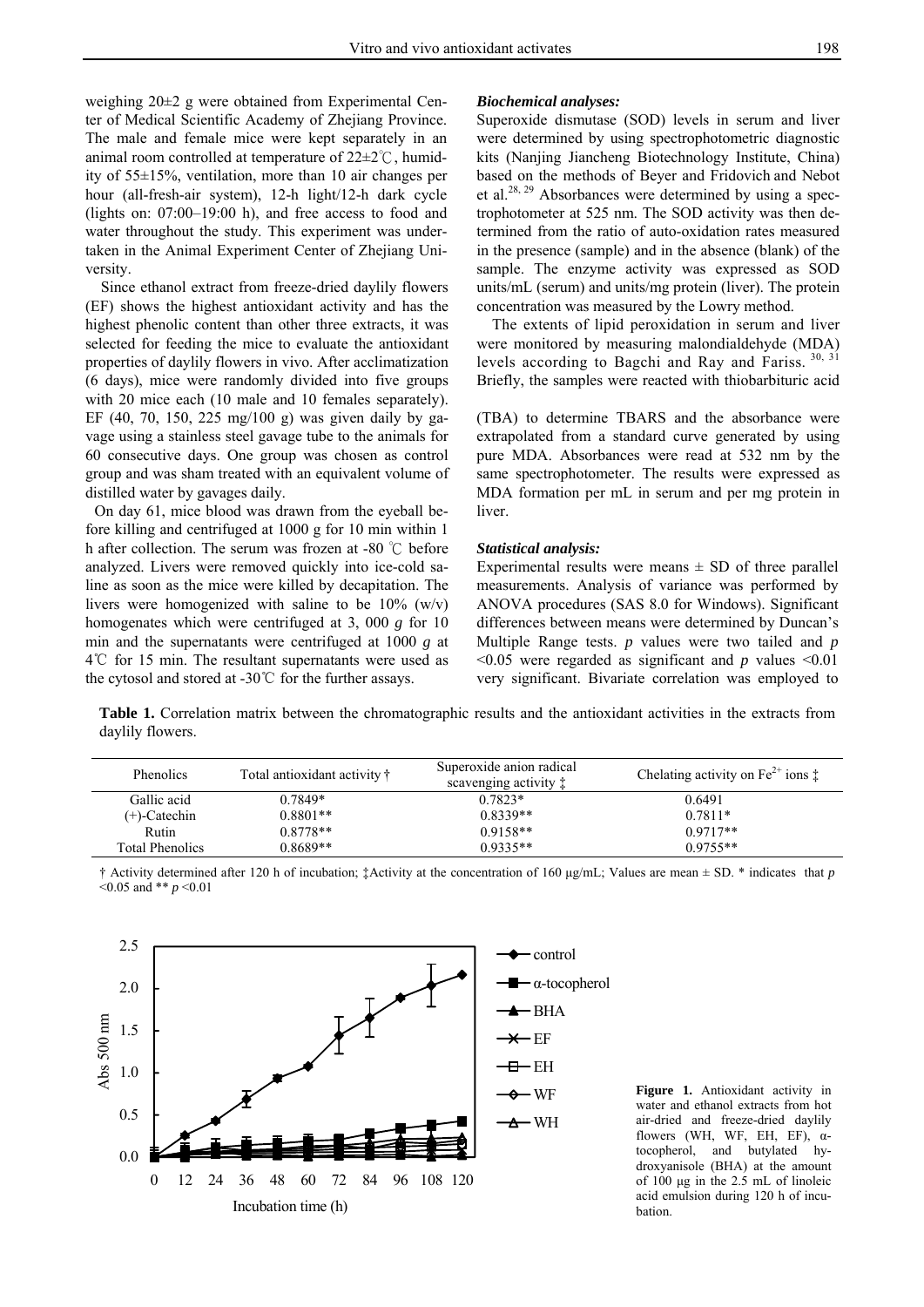weighing 20±2 g were obtained from Experimental Center of Medical Scientific Academy of Zhejiang Province. The male and female mice were kept separately in an animal room controlled at temperature of 22±2℃, humidity of 55±15%, ventilation, more than 10 air changes per hour (all-fresh-air system), 12-h light/12-h dark cycle (lights on: 07:00–19:00 h), and free access to food and water throughout the study. This experiment was undertaken in the Animal Experiment Center of Zhejiang University.

Since ethanol extract from freeze-dried daylily flowers (EF) shows the highest antioxidant activity and has the highest phenolic content than other three extracts, it was selected for feeding the mice to evaluate the antioxidant properties of daylily flowers in vivo. After acclimatization (6 days), mice were randomly divided into five groups with 20 mice each (10 male and 10 females separately). EF (40, 70, 150, 225 mg/100 g) was given daily by gavage using a stainless steel gavage tube to the animals for 60 consecutive days. One group was chosen as control group and was sham treated with an equivalent volume of distilled water by gavages daily.

On day 61, mice blood was drawn from the eyeball before killing and centrifuged at 1000 g for 10 min within 1 h after collection. The serum was frozen at -80 ℃ before analyzed. Livers were removed quickly into ice-cold saline as soon as the mice were killed by decapitation. The livers were homogenized with saline to be  $10\%$  (w/v) homogenates which were centrifuged at 3, 000 *g* for 10 min and the supernatants were centrifuged at 1000 *g* at 4℃ for 15 min. The resultant supernatants were used as the cytosol and stored at -30℃ for the further assays.

#### *Biochemical analyses:*

Superoxide dismutase (SOD) levels in serum and liver were determined by using spectrophotometric diagnostic kits (Nanjing Jiancheng Biotechnology Institute, China) based on the methods of Beyer and Fridovich and Nebot et al.28, 29 Absorbances were determined by using a spectrophotometer at 525 nm. The SOD activity was then determined from the ratio of auto-oxidation rates measured in the presence (sample) and in the absence (blank) of the sample. The enzyme activity was expressed as SOD units/mL (serum) and units/mg protein (liver). The protein concentration was measured by the Lowry method.

The extents of lipid peroxidation in serum and liver were monitored by measuring malondialdehyde (MDA) levels according to Bagchi and Ray and Fariss. 30, 31 Briefly, the samples were reacted with thiobarbituric acid

(TBA) to determine TBARS and the absorbance were extrapolated from a standard curve generated by using pure MDA. Absorbances were read at 532 nm by the same spectrophotometer. The results were expressed as MDA formation per mL in serum and per mg protein in liver.

#### *Statistical analysis:*

Experimental results were means  $\pm$  SD of three parallel measurements. Analysis of variance was performed by ANOVA procedures (SAS 8.0 for Windows). Significant differences between means were determined by Duncan's Multiple Range tests. *p* values were two tailed and *p*  <0.05 were regarded as significant and *p* values <0.01 very significant. Bivariate correlation was employed to

**Table 1.** Correlation matrix between the chromatographic results and the antioxidant activities in the extracts from daylily flowers.

| <b>Phenolics</b>       | Total antioxidant activity † | Superoxide anion radical<br>scavenging activity: | Chelating activity on $Fe^{2+}$ ions $\ddagger$ |
|------------------------|------------------------------|--------------------------------------------------|-------------------------------------------------|
| Gallic acid            | $0.7849*$                    | $0.7823*$                                        | 0.6491                                          |
| $(+)$ -Catechin        | $0.8801**$                   | $0.8339**$                                       | $0.7811*$                                       |
| Rutin                  | $0.8778**$                   | $0.9158**$                                       | $0.9717**$                                      |
| <b>Total Phenolics</b> | $0.8689**$                   | $0.9335**$                                       | $0.9755**$                                      |

† Activity determined after 120 h of incubation; ‡Activity at the concentration of 160 μg/mL; Values are mean ± SD. \* indicates that *p* <0.05 and \*\* *p* <0.01



**Figure 1.** Antioxidant activity in water and ethanol extracts from hot air-dried and freeze-dried daylily flowers (WH, WF, EH, EF),  $\alpha$ tocopherol, and butylated hydroxyanisole (BHA) at the amount of 100 μg in the 2.5 mL of linoleic acid emulsion during 120 h of incubation.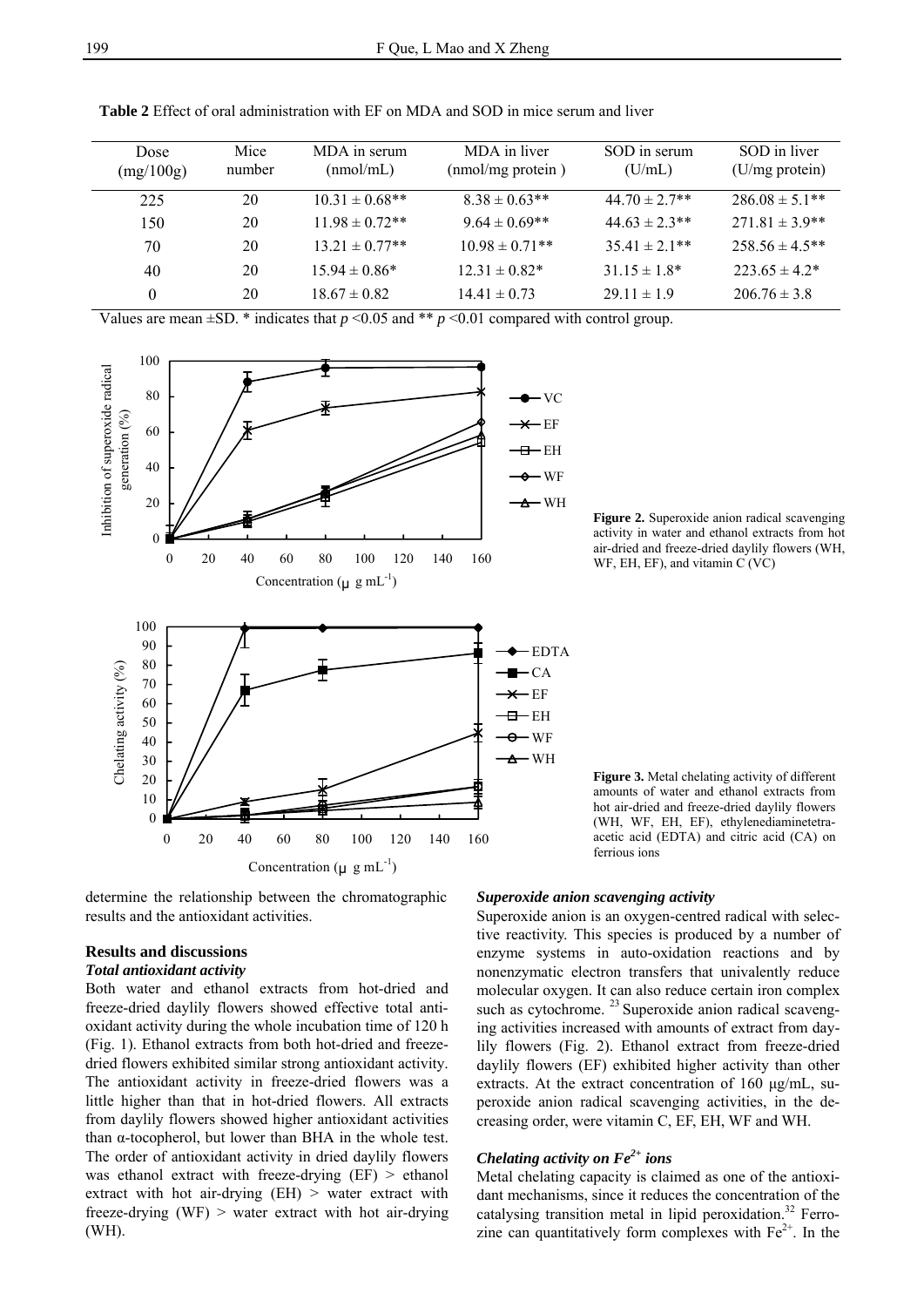| Dose<br>(mg/100g) | Mice<br>number | MDA in serum<br>(mmol/mL) | MDA in liver<br>(nmol/mg protein) | SOD in serum<br>(U/mL) | SOD in liver<br>(U/mg protein) |
|-------------------|----------------|---------------------------|-----------------------------------|------------------------|--------------------------------|
| 225               | 20             | $10.31 \pm 0.68$ **       | $8.38 \pm 0.63**$                 | 44 70 $\pm$ 2 7**      | $286.08 \pm 5.1**$             |
| 150               | 20             | $11.98 \pm 0.72$ **       | $9.64 \pm 0.69$ **                | $44.63 \pm 2.3$ **     | $271.81 \pm 3.9**$             |
| 70                | 20             | $13.21 \pm 0.77**$        | $10.98 \pm 0.71**$                | $35.41 \pm 2.1**$      | $258.56 \pm 4.5**$             |
| 40                | 20             | $15.94 \pm 0.86*$         | $12.31 \pm 0.82^*$                | $31.15 \pm 1.8^*$      | $223.65 \pm 4.2^*$             |
| $\theta$          | 20             | $18.67 \pm 0.82$          | $14.41 \pm 0.73$                  | $29.11 \pm 1.9$        | $206.76 \pm 3.8$               |

**Table 2** Effect of oral administration with EF on MDA and SOD in mice serum and liver

Values are mean  $\pm$ SD. \* indicates that *p* <0.05 and \*\* *p* <0.01 compared with control group.



determine the relationship between the chromatographic results and the antioxidant activities.

#### **Results and discussions**

#### *Total antioxidant activity*

Both water and ethanol extracts from hot-dried and freeze-dried daylily flowers showed effective total antioxidant activity during the whole incubation time of 120 h (Fig. 1). Ethanol extracts from both hot-dried and freezedried flowers exhibited similar strong antioxidant activity. The antioxidant activity in freeze-dried flowers was a little higher than that in hot-dried flowers. All extracts from daylily flowers showed higher antioxidant activities than α-tocopherol, but lower than BHA in the whole test. The order of antioxidant activity in dried daylily flowers was ethanol extract with freeze-drying (EF) > ethanol extract with hot air-drying  $(EH)$  > water extract with freeze-drying (WF) > water extract with hot air-drying (WH).

**Figure 2.** Superoxide anion radical scavenging activity in water and ethanol extracts from hot air-dried and freeze-dried daylily flowers (WH, WF, EH, EF), and vitamin C (VC)

**Figure 3.** Metal chelating activity of different amounts of water and ethanol extracts from hot air-dried and freeze-dried daylily flowers (WH, WF, EH, EF), ethylenediaminetetraacetic acid (EDTA) and citric acid (CA) on ferrious ions

#### *Superoxide anion scavenging activity*

Superoxide anion is an oxygen-centred radical with selective reactivity. This species is produced by a number of enzyme systems in auto-oxidation reactions and by nonenzymatic electron transfers that univalently reduce molecular oxygen. It can also reduce certain iron complex such as cytochrome. <sup>23</sup> Superoxide anion radical scavenging activities increased with amounts of extract from daylily flowers (Fig. 2). Ethanol extract from freeze-dried daylily flowers (EF) exhibited higher activity than other extracts. At the extract concentration of 160 μg/mL, superoxide anion radical scavenging activities, in the decreasing order, were vitamin C, EF, EH, WF and WH.

# *Chelating activity on Fe2+ ions*

Metal chelating capacity is claimed as one of the antioxidant mechanisms, since it reduces the concentration of the catalysing transition metal in lipid peroxidation.<sup>32</sup> Ferrozine can quantitatively form complexes with  $Fe<sup>2+</sup>$ . In the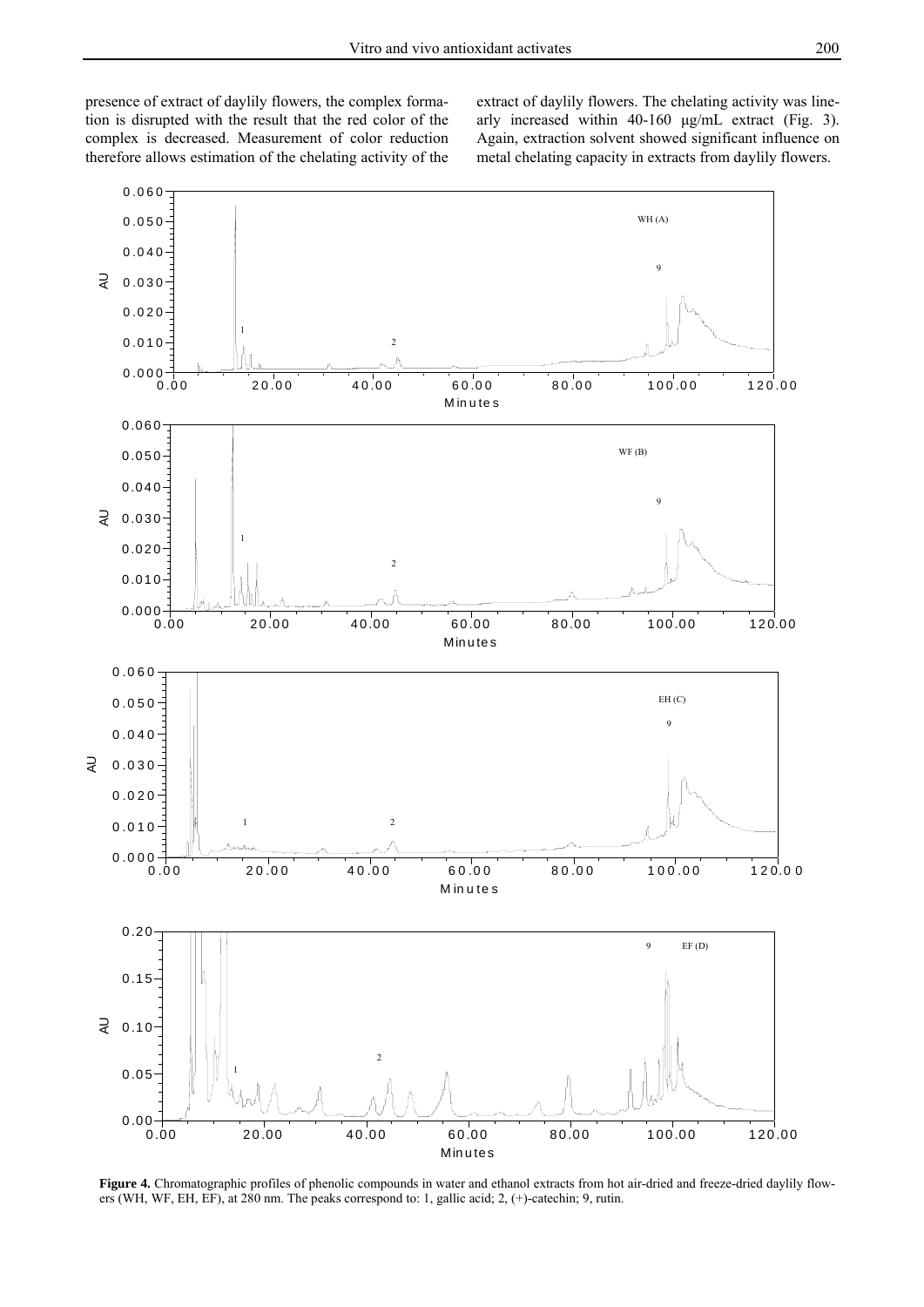presence of extract of daylily flowers, the complex formation is disrupted with the result that the red color of the complex is decreased. Measurement of color reduction therefore allows estimation of the chelating activity of the extract of daylily flowers. The chelating activity was linearly increased within 40-160 μg/mL extract (Fig. 3). Again, extraction solvent showed significant influence on metal chelating capacity in extracts from daylily flowers.



Figure 4. Chromatographic profiles of phenolic compounds in water and ethanol extracts from hot air-dried and freeze-dried daylily flowers (WH, WF, EH, EF), at 280 nm. The peaks correspond to: 1, gallic acid; 2, (+)-catechin; 9, rutin.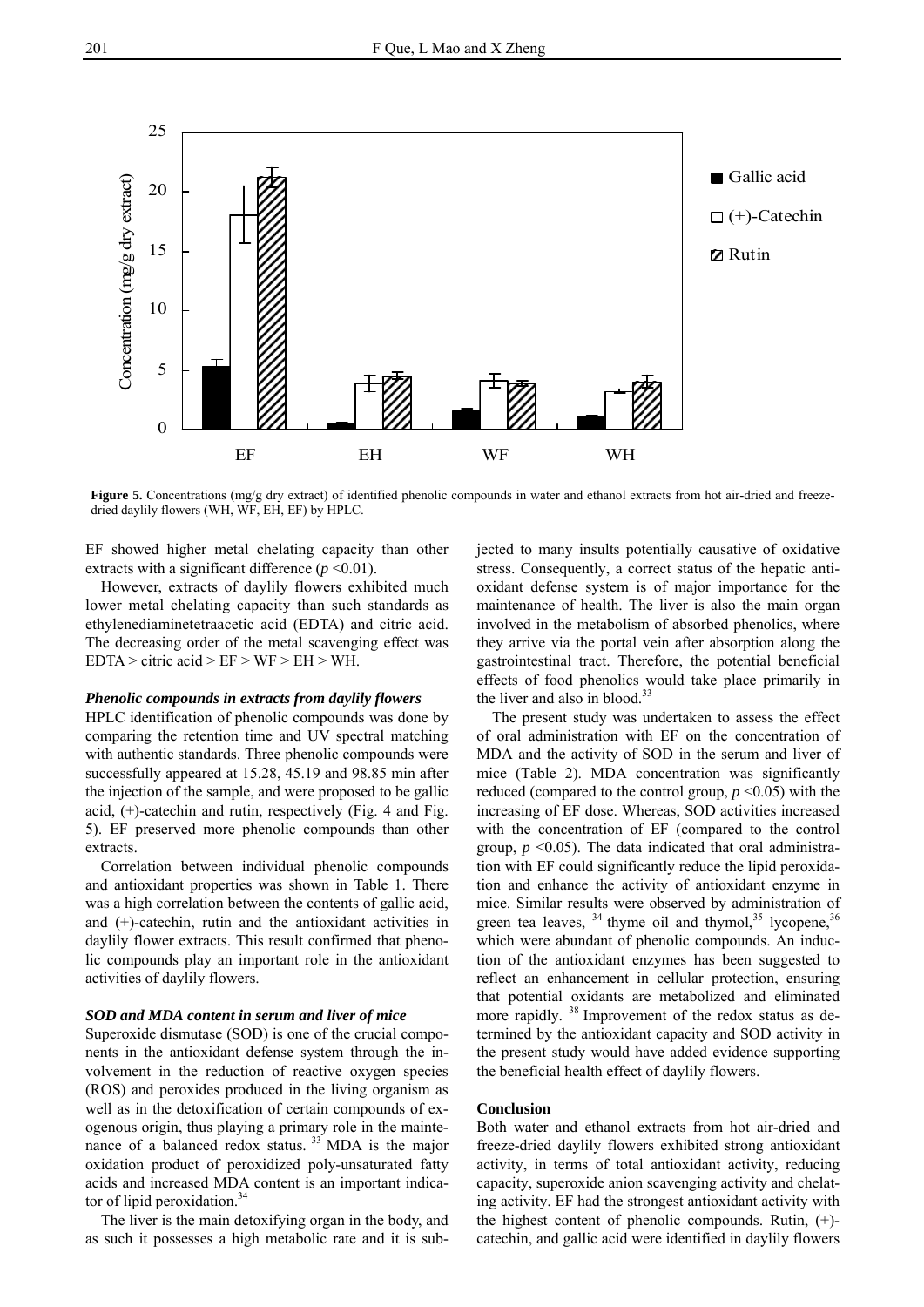

**Figure 5.** Concentrations (mg/g dry extract) of identified phenolic compounds in water and ethanol extracts from hot air-dried and freezedried daylily flowers (WH, WF, EH, EF) by HPLC.

EF showed higher metal chelating capacity than other extracts with a significant difference  $(p \le 0.01)$ .

 However, extracts of daylily flowers exhibited much lower metal chelating capacity than such standards as ethylenediaminetetraacetic acid (EDTA) and citric acid. The decreasing order of the metal scavenging effect was  $EDTA >$  citric acid  $> EF > WF > EH > WH$ .

#### *Phenolic compounds in extracts from daylily flowers*

HPLC identification of phenolic compounds was done by comparing the retention time and UV spectral matching with authentic standards. Three phenolic compounds were successfully appeared at 15.28, 45.19 and 98.85 min after the injection of the sample, and were proposed to be gallic acid, (+)-catechin and rutin, respectively (Fig. 4 and Fig. 5). EF preserved more phenolic compounds than other extracts.

Correlation between individual phenolic compounds and antioxidant properties was shown in Table 1. There was a high correlation between the contents of gallic acid, and (+)-catechin, rutin and the antioxidant activities in daylily flower extracts. This result confirmed that phenolic compounds play an important role in the antioxidant activities of daylily flowers.

#### *SOD and MDA content in serum and liver of mice*

Superoxide dismutase (SOD) is one of the crucial components in the antioxidant defense system through the involvement in the reduction of reactive oxygen species (ROS) and peroxides produced in the living organism as well as in the detoxification of certain compounds of exogenous origin, thus playing a primary role in the maintenance of a balanced redox status.<sup>33</sup> MDA is the major oxidation product of peroxidized poly-unsaturated fatty acids and increased MDA content is an important indicator of lipid peroxidation.<sup>34</sup>

The liver is the main detoxifying organ in the body, and as such it possesses a high metabolic rate and it is subjected to many insults potentially causative of oxidative stress. Consequently, a correct status of the hepatic antioxidant defense system is of major importance for the maintenance of health. The liver is also the main organ involved in the metabolism of absorbed phenolics, where they arrive via the portal vein after absorption along the gastrointestinal tract. Therefore, the potential beneficial effects of food phenolics would take place primarily in the liver and also in blood. $33$ 

The present study was undertaken to assess the effect of oral administration with EF on the concentration of MDA and the activity of SOD in the serum and liver of mice (Table 2). MDA concentration was significantly reduced (compared to the control group,  $p \le 0.05$ ) with the increasing of EF dose. Whereas, SOD activities increased with the concentration of EF (compared to the control group,  $p \leq 0.05$ ). The data indicated that oral administration with EF could significantly reduce the lipid peroxidation and enhance the activity of antioxidant enzyme in mice. Similar results were observed by administration of green tea leaves,  $34$  thyme oil and thymol,  $35$  lycopene,  $36$ which were abundant of phenolic compounds. An induction of the antioxidant enzymes has been suggested to reflect an enhancement in cellular protection, ensuring that potential oxidants are metabolized and eliminated more rapidly. 38 Improvement of the redox status as determined by the antioxidant capacity and SOD activity in the present study would have added evidence supporting the beneficial health effect of daylily flowers.

## **Conclusion**

Both water and ethanol extracts from hot air-dried and freeze-dried daylily flowers exhibited strong antioxidant activity, in terms of total antioxidant activity, reducing capacity, superoxide anion scavenging activity and chelating activity. EF had the strongest antioxidant activity with the highest content of phenolic compounds. Rutin, (+) catechin, and gallic acid were identified in daylily flowers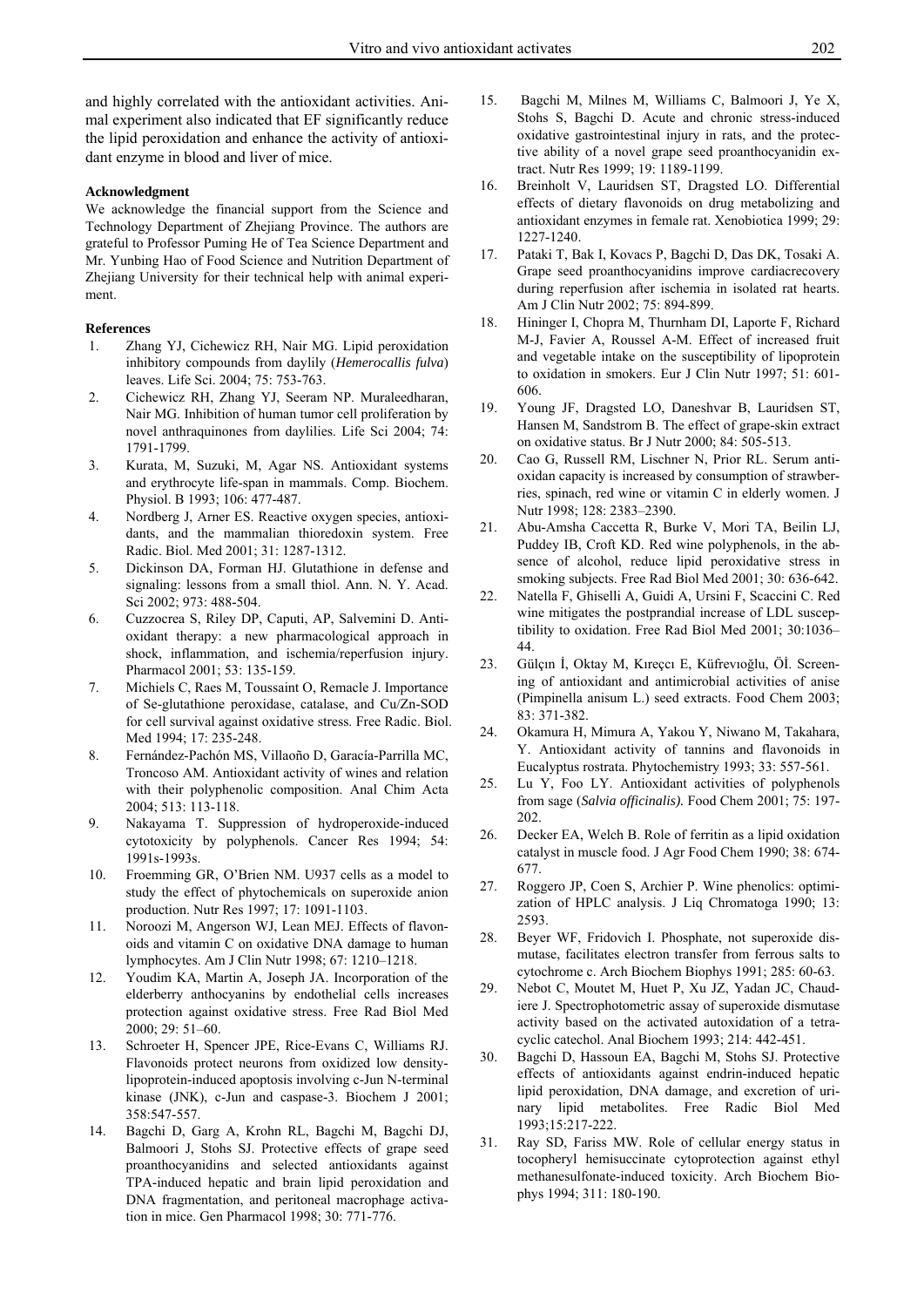and highly correlated with the antioxidant activities. Animal experiment also indicated that EF significantly reduce the lipid peroxidation and enhance the activity of antioxidant enzyme in blood and liver of mice.

#### **Acknowledgment**

We acknowledge the financial support from the Science and Technology Department of Zhejiang Province. The authors are grateful to Professor Puming He of Tea Science Department and Mr. Yunbing Hao of Food Science and Nutrition Department of Zhejiang University for their technical help with animal experiment.

#### **References**

- 1. Zhang YJ, Cichewicz RH, Nair MG. Lipid peroxidation inhibitory compounds from daylily (*Hemerocallis fulva*) leaves. Life Sci. 2004; 75: 753-763.
- 2. Cichewicz RH, Zhang YJ, Seeram NP. Muraleedharan, Nair MG. Inhibition of human tumor cell proliferation by novel anthraquinones from daylilies. Life Sci 2004; 74: 1791-1799.
- 3. Kurata, M, Suzuki, M, Agar NS. Antioxidant systems and erythrocyte life-span in mammals. Comp. Biochem. Physiol. B 1993; 106: 477-487.
- 4. Nordberg J, Arner ES. Reactive oxygen species, antioxidants, and the mammalian thioredoxin system. Free Radic. Biol. Med 2001; 31: 1287-1312.
- 5. Dickinson DA, Forman HJ. Glutathione in defense and signaling: lessons from a small thiol. Ann. N. Y. Acad. Sci 2002; 973: 488-504.
- 6. Cuzzocrea S, Riley DP, Caputi, AP, Salvemini D. Antioxidant therapy: a new pharmacological approach in shock, inflammation, and ischemia/reperfusion injury. Pharmacol 2001; 53: 135-159.
- 7. Michiels C, Raes M, Toussaint O, Remacle J. Importance of Se-glutathione peroxidase, catalase, and Cu/Zn-SOD for cell survival against oxidative stress. Free Radic. Biol. Med 1994; 17: 235-248.
- 8. Fernández-Pachón MS, Villaoño D, Garacía-Parrilla MC, Troncoso AM. Antioxidant activity of wines and relation with their polyphenolic composition. Anal Chim Acta 2004; 513: 113-118.
- 9. Nakayama T. Suppression of hydroperoxide-induced cytotoxicity by polyphenols. Cancer Res 1994; 54: 1991s-1993s.
- 10. Froemming GR, O'Brien NM. U937 cells as a model to study the effect of phytochemicals on superoxide anion production. Nutr Res 1997; 17: 1091-1103.
- 11. Noroozi M, Angerson WJ, Lean MEJ. Effects of flavonoids and vitamin C on oxidative DNA damage to human lymphocytes. Am J Clin Nutr 1998; 67: 1210–1218.
- 12. Youdim KA, Martin A, Joseph JA. Incorporation of the elderberry anthocyanins by endothelial cells increases protection against oxidative stress. Free Rad Biol Med 2000; 29: 51–60.
- 13. Schroeter H, Spencer JPE, Rice-Evans C, Williams RJ. Flavonoids protect neurons from oxidized low densitylipoprotein-induced apoptosis involving c-Jun N-terminal kinase (JNK), c-Jun and caspase-3. Biochem J 2001; 358:547-557.
- 14. Bagchi D, Garg A, Krohn RL, Bagchi M, Bagchi DJ, Balmoori J, Stohs SJ. Protective effects of grape seed proanthocyanidins and selected antioxidants against TPA-induced hepatic and brain lipid peroxidation and DNA fragmentation, and peritoneal macrophage activation in mice. Gen Pharmacol 1998; 30: 771-776.
- 15. Bagchi M, Milnes M, Williams C, Balmoori J, Ye X, Stohs S, Bagchi D. Acute and chronic stress-induced oxidative gastrointestinal injury in rats, and the protective ability of a novel grape seed proanthocyanidin extract. Nutr Res 1999; 19: 1189-1199.
- 16. Breinholt V, Lauridsen ST, Dragsted LO. Differential effects of dietary flavonoids on drug metabolizing and antioxidant enzymes in female rat. Xenobiotica 1999; 29: 1227-1240.
- 17. Pataki T, Bak I, Kovacs P, Bagchi D, Das DK, Tosaki A. Grape seed proanthocyanidins improve cardiacrecovery during reperfusion after ischemia in isolated rat hearts. Am J Clin Nutr 2002; 75: 894-899.
- 18. Hininger I, Chopra M, Thurnham DI, Laporte F, Richard M-J, Favier A, Roussel A-M. Effect of increased fruit and vegetable intake on the susceptibility of lipoprotein to oxidation in smokers. Eur J Clin Nutr 1997; 51: 601- 606.
- 19. Young JF, Dragsted LO, Daneshvar B, Lauridsen ST, Hansen M, Sandstrom B. The effect of grape-skin extract on oxidative status. Br J Nutr 2000; 84: 505-513.
- 20. Cao G, Russell RM, Lischner N, Prior RL. Serum antioxidan capacity is increased by consumption of strawberries, spinach, red wine or vitamin C in elderly women. J Nutr 1998; 128: 2383–2390.
- 21. Abu-Amsha Caccetta R, Burke V, Mori TA, Beilin LJ, Puddey IB, Croft KD. Red wine polyphenols, in the absence of alcohol, reduce lipid peroxidative stress in smoking subjects. Free Rad Biol Med 2001; 30: 636-642.
- 22. Natella F, Ghiselli A, Guidi A, Ursini F, Scaccini C. Red wine mitigates the postprandial increase of LDL susceptibility to oxidation. Free Rad Biol Med 2001; 30:1036– 44.
- 23. Gülçın İ, Oktay M, Kıreçcı E, Küfrevıoğlu, Öİ. Screening of antioxidant and antimicrobial activities of anise (Pimpinella anisum L.) seed extracts. Food Chem 2003; 83: 371-382.
- 24. Okamura H, Mimura A, Yakou Y, Niwano M, Takahara, Y. Antioxidant activity of tannins and flavonoids in Eucalyptus rostrata. Phytochemistry 1993; 33: 557-561.
- 25. Lu Y, Foo LY. Antioxidant activities of polyphenols from sage (*Salvia officinalis).* Food Chem 2001; 75: 197- 202.
- 26. Decker EA, Welch B. Role of ferritin as a lipid oxidation catalyst in muscle food. J Agr Food Chem 1990; 38: 674- 677.
- 27. Roggero JP, Coen S, Archier P. Wine phenolics: optimization of HPLC analysis. J Liq Chromatoga 1990; 13: 2593.
- 28. Beyer WF, Fridovich I. Phosphate, not superoxide dismutase, facilitates electron transfer from ferrous salts to cytochrome c. Arch Biochem Biophys 1991; 285: 60-63.
- 29. Nebot C, Moutet M, Huet P, Xu JZ, Yadan JC, Chaudiere J. Spectrophotometric assay of superoxide dismutase activity based on the activated autoxidation of a tetracyclic catechol. Anal Biochem 1993; 214: 442-451.
- 30. Bagchi D, Hassoun EA, Bagchi M, Stohs SJ. Protective effects of antioxidants against endrin-induced hepatic lipid peroxidation, DNA damage, and excretion of urinary lipid metabolites. Free Radic Biol Med 1993;15:217-222.
- 31. Ray SD, Fariss MW. Role of cellular energy status in tocopheryl hemisuccinate cytoprotection against ethyl methanesulfonate-induced toxicity. Arch Biochem Biophys 1994; 311: 180-190.